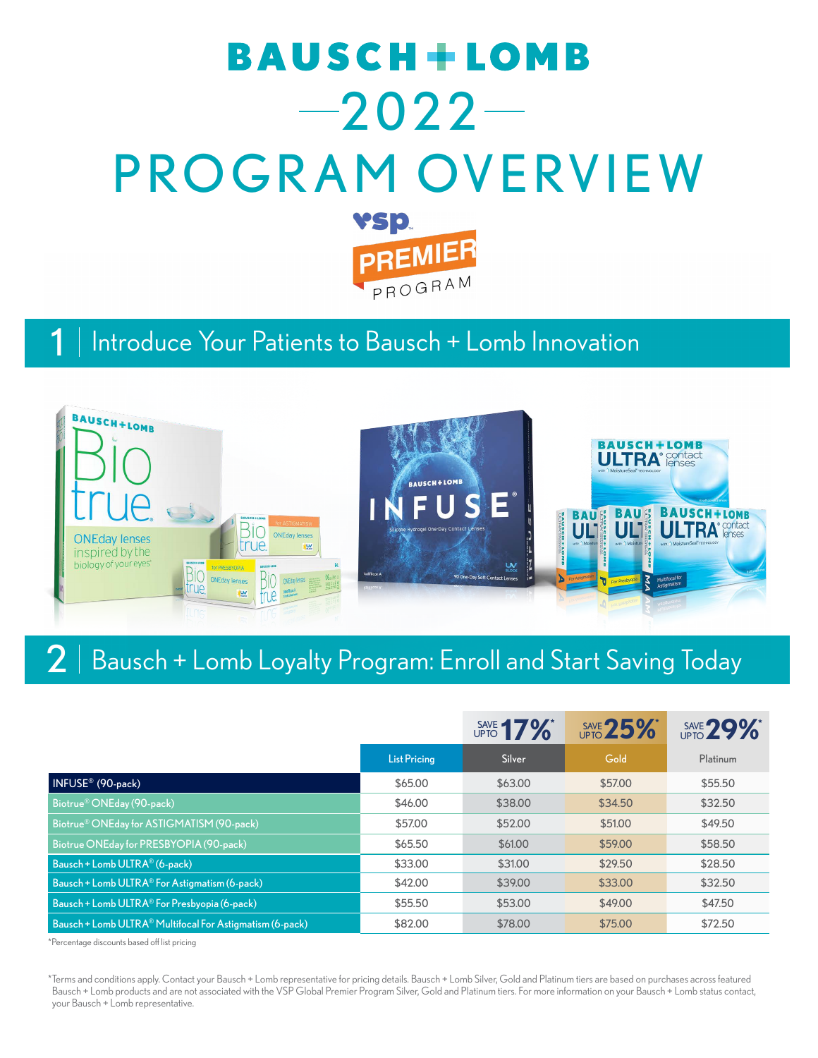# **BAUSCH+LOMB**  $-2022-$ PROGRAM OVERVIEW YSD. **PREMIER**

PROGRAM

#### 1 Introduce Your Patients to Bausch + Lomb Innovation



### 2 | Bausch + Lomb Loyalty Program: Enroll and Start Saving Today

|                                                           |                     | SAVE 17% | SAVE 25% | SAVE 29%* |
|-----------------------------------------------------------|---------------------|----------|----------|-----------|
|                                                           | <b>List Pricing</b> | Silver   | Gold     | Platinum  |
| INFUSE <sup>®</sup> (90-pack)                             | \$65,00             | \$63.00  | \$57.00  | \$55,50   |
| Biotrue® ONEday (90-pack)                                 | \$46,00             | \$38,00  | \$34.50  | \$32.50   |
| Biotrue® ONEday for ASTIGMATISM (90-pack)                 | \$57.00             | \$52.00  | \$51.00  | \$49.50   |
| Biotrue ONEday for PRESBYOPIA (90-pack)                   | \$65,50             | \$61,00  | \$59,00  | \$58.50   |
| Bausch + Lomb ULTRA® (6-pack)                             | \$33.00             | \$31.00  | \$29.50  | \$28.50   |
| Bausch + Lomb ULTRA <sup>®</sup> For Astigmatism (6-pack) | \$42.00             | \$39.00  | \$33.00  | \$32.50   |
| Bausch + Lomb ULTRA <sup>®</sup> For Presbyopia (6-pack)  | \$55.50             | \$53,00  | \$49.00  | \$47.50   |
| Bausch + Lomb ULTRA® Multifocal For Astigmatism (6-pack)  | \$82.00             | \$78,00  | \$75,00  | \$72.50   |

\*Percentage discounts based off list pricing

\*Terms and conditions apply. Contact your Bausch + Lomb representative for pricing details. Bausch + Lomb Silver, Gold and Platinum tiers are based on purchases across featured Bausch + Lomb products and are not associated with the VSP Global Premier Program Silver, Gold and Platinum tiers. For more information on your Bausch + Lomb status contact, your Bausch + Lomb representative.